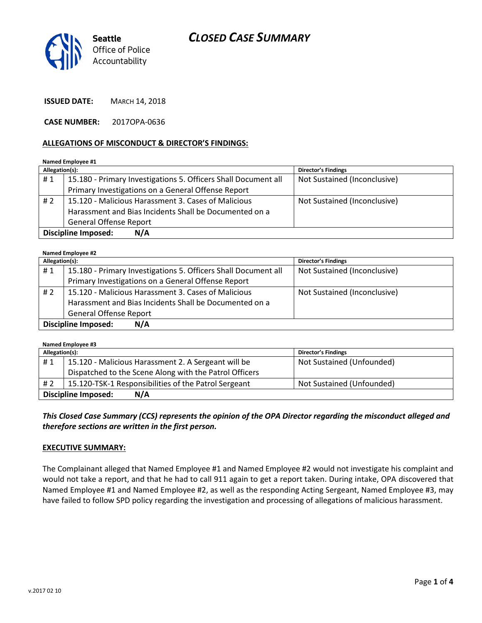



**ISSUED DATE:** MARCH 14, 2018

**CASE NUMBER:** 2017OPA-0636

#### **ALLEGATIONS OF MISCONDUCT & DIRECTOR'S FINDINGS:**

**Named Employee #1**

| Allegation(s):                    |                                                                | <b>Director's Findings</b>   |  |
|-----------------------------------|----------------------------------------------------------------|------------------------------|--|
| #1                                | 15.180 - Primary Investigations 5. Officers Shall Document all | Not Sustained (Inconclusive) |  |
|                                   | Primary Investigations on a General Offense Report             |                              |  |
| #2                                | 15.120 - Malicious Harassment 3. Cases of Malicious            | Not Sustained (Inconclusive) |  |
|                                   | Harassment and Bias Incidents Shall be Documented on a         |                              |  |
|                                   | <b>General Offense Report</b>                                  |                              |  |
| <b>Discipline Imposed:</b><br>N/A |                                                                |                              |  |

#### **Named Employee #2**

| Allegation(s):                    |                                                                | <b>Director's Findings</b>   |  |
|-----------------------------------|----------------------------------------------------------------|------------------------------|--|
| #1                                | 15.180 - Primary Investigations 5. Officers Shall Document all | Not Sustained (Inconclusive) |  |
|                                   | Primary Investigations on a General Offense Report             |                              |  |
| #2                                | 15.120 - Malicious Harassment 3. Cases of Malicious            | Not Sustained (Inconclusive) |  |
|                                   | Harassment and Bias Incidents Shall be Documented on a         |                              |  |
|                                   | <b>General Offense Report</b>                                  |                              |  |
| <b>Discipline Imposed:</b><br>N/A |                                                                |                              |  |

**Named Employee #3**

| Allegation(s):                    |                                                        | <b>Director's Findings</b> |  |
|-----------------------------------|--------------------------------------------------------|----------------------------|--|
| #1                                | 15.120 - Malicious Harassment 2. A Sergeant will be    | Not Sustained (Unfounded)  |  |
|                                   | Dispatched to the Scene Along with the Patrol Officers |                            |  |
| #2                                | 15.120-TSK-1 Responsibilities of the Patrol Sergeant   | Not Sustained (Unfounded)  |  |
| N/A<br><b>Discipline Imposed:</b> |                                                        |                            |  |

*This Closed Case Summary (CCS) represents the opinion of the OPA Director regarding the misconduct alleged and therefore sections are written in the first person.* 

#### **EXECUTIVE SUMMARY:**

The Complainant alleged that Named Employee #1 and Named Employee #2 would not investigate his complaint and would not take a report, and that he had to call 911 again to get a report taken. During intake, OPA discovered that Named Employee #1 and Named Employee #2, as well as the responding Acting Sergeant, Named Employee #3, may have failed to follow SPD policy regarding the investigation and processing of allegations of malicious harassment.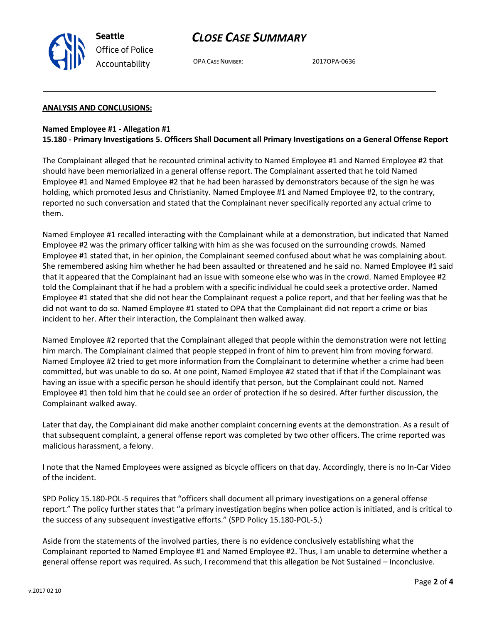



OPA CASE NUMBER: 2017OPA-0636

# **ANALYSIS AND CONCLUSIONS:**

### **Named Employee #1 - Allegation #1 15.180 - Primary Investigations 5. Officers Shall Document all Primary Investigations on a General Offense Report**

The Complainant alleged that he recounted criminal activity to Named Employee #1 and Named Employee #2 that should have been memorialized in a general offense report. The Complainant asserted that he told Named Employee #1 and Named Employee #2 that he had been harassed by demonstrators because of the sign he was holding, which promoted Jesus and Christianity. Named Employee #1 and Named Employee #2, to the contrary, reported no such conversation and stated that the Complainant never specifically reported any actual crime to them.

Named Employee #1 recalled interacting with the Complainant while at a demonstration, but indicated that Named Employee #2 was the primary officer talking with him as she was focused on the surrounding crowds. Named Employee #1 stated that, in her opinion, the Complainant seemed confused about what he was complaining about. She remembered asking him whether he had been assaulted or threatened and he said no. Named Employee #1 said that it appeared that the Complainant had an issue with someone else who was in the crowd. Named Employee #2 told the Complainant that if he had a problem with a specific individual he could seek a protective order. Named Employee #1 stated that she did not hear the Complainant request a police report, and that her feeling was that he did not want to do so. Named Employee #1 stated to OPA that the Complainant did not report a crime or bias incident to her. After their interaction, the Complainant then walked away.

Named Employee #2 reported that the Complainant alleged that people within the demonstration were not letting him march. The Complainant claimed that people stepped in front of him to prevent him from moving forward. Named Employee #2 tried to get more information from the Complainant to determine whether a crime had been committed, but was unable to do so. At one point, Named Employee #2 stated that if that if the Complainant was having an issue with a specific person he should identify that person, but the Complainant could not. Named Employee #1 then told him that he could see an order of protection if he so desired. After further discussion, the Complainant walked away.

Later that day, the Complainant did make another complaint concerning events at the demonstration. As a result of that subsequent complaint, a general offense report was completed by two other officers. The crime reported was malicious harassment, a felony.

I note that the Named Employees were assigned as bicycle officers on that day. Accordingly, there is no In-Car Video of the incident.

SPD Policy 15.180-POL-5 requires that "officers shall document all primary investigations on a general offense report." The policy further states that "a primary investigation begins when police action is initiated, and is critical to the success of any subsequent investigative efforts." (SPD Policy 15.180-POL-5.)

Aside from the statements of the involved parties, there is no evidence conclusively establishing what the Complainant reported to Named Employee #1 and Named Employee #2. Thus, I am unable to determine whether a general offense report was required. As such, I recommend that this allegation be Not Sustained – Inconclusive.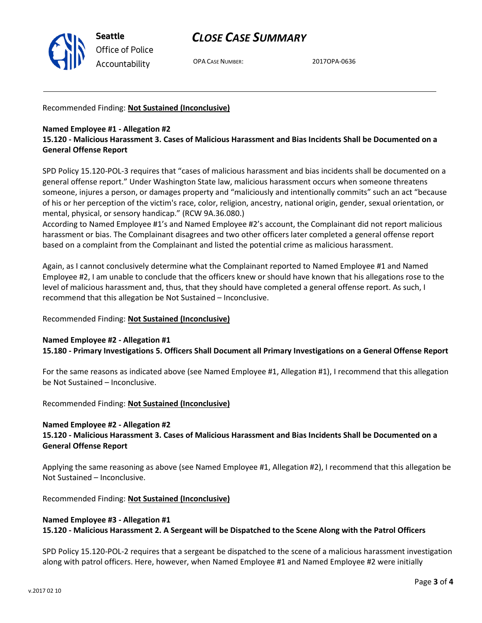

# *CLOSE CASE SUMMARY*

OPA CASE NUMBER: 2017OPA-0636

Recommended Finding: **Not Sustained (Inconclusive)**

# **Named Employee #1 - Allegation #2**

# **15.120 - Malicious Harassment 3. Cases of Malicious Harassment and Bias Incidents Shall be Documented on a General Offense Report**

SPD Policy 15.120-POL-3 requires that "cases of malicious harassment and bias incidents shall be documented on a general offense report." Under Washington State law, malicious harassment occurs when someone threatens someone, injures a person, or damages property and "maliciously and intentionally commits" such an act "because of his or her perception of the victim's race, color, religion, ancestry, national origin, gender, sexual orientation, or mental, physical, or sensory handicap." (RCW 9A.36.080.)

According to Named Employee #1's and Named Employee #2's account, the Complainant did not report malicious harassment or bias. The Complainant disagrees and two other officers later completed a general offense report based on a complaint from the Complainant and listed the potential crime as malicious harassment.

Again, as I cannot conclusively determine what the Complainant reported to Named Employee #1 and Named Employee #2, I am unable to conclude that the officers knew or should have known that his allegations rose to the level of malicious harassment and, thus, that they should have completed a general offense report. As such, I recommend that this allegation be Not Sustained – Inconclusive.

# Recommended Finding: **Not Sustained (Inconclusive)**

# **Named Employee #2 - Allegation #1**

**15.180 - Primary Investigations 5. Officers Shall Document all Primary Investigations on a General Offense Report**

For the same reasons as indicated above (see Named Employee #1, Allegation #1), I recommend that this allegation be Not Sustained – Inconclusive.

Recommended Finding: **Not Sustained (Inconclusive)**

# **Named Employee #2 - Allegation #2**

**15.120 - Malicious Harassment 3. Cases of Malicious Harassment and Bias Incidents Shall be Documented on a General Offense Report**

Applying the same reasoning as above (see Named Employee #1, Allegation #2), I recommend that this allegation be Not Sustained – Inconclusive.

Recommended Finding: **Not Sustained (Inconclusive)**

## **Named Employee #3 - Allegation #1 15.120 - Malicious Harassment 2. A Sergeant will be Dispatched to the Scene Along with the Patrol Officers**

SPD Policy 15.120-POL-2 requires that a sergeant be dispatched to the scene of a malicious harassment investigation along with patrol officers. Here, however, when Named Employee #1 and Named Employee #2 were initially